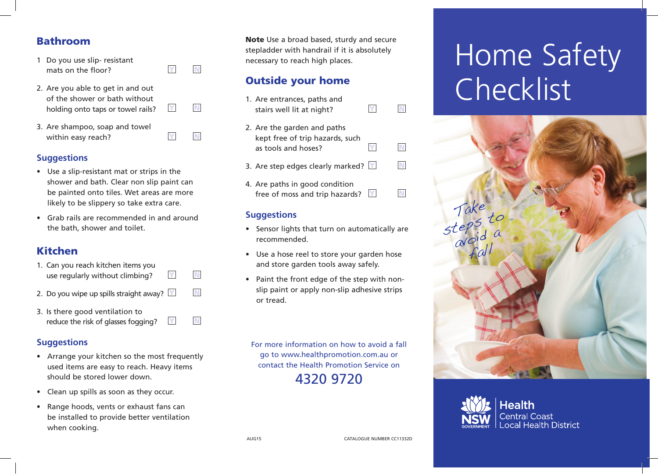### Bathroom

- 1 Do you use slip- resistant mats on the floor?  $\boxed{Y}$   $\boxed{N}$
- 2. Are you able to get in and out of the shower or bath without holding onto taps or towel rails?  $\blacksquare$
- 3. Are shampoo, soap and towel within easy reach?  $\blacksquare$

### **Suggestions**

- Use a slip-resistant mat or strips in the shower and bath. Clear non slip paint can be painted onto tiles. Wet areas are more likely to be slippery so take extra care.
- Grab rails are recommended in and around the bath, shower and toilet.

# Kitchen

| 1. Can you reach kitchen items you<br>use regularly without climbing? | Y | N |
|-----------------------------------------------------------------------|---|---|
| 2. Do you wipe up spills straight away? $\mathbb{Y}$                  |   | N |

3. Is there good ventilation to reduce the risk of glasses fogging?  $\mathbb{N}$   $\mathbb{N}$ 

### **Suggestions**

- Arrange your kitchen so the most frequently used items are easy to reach. Heavy items should be stored lower down.
- Clean up spills as soon as they occur.
- Range hoods, vents or exhaust fans can be installed to provide better ventilation when cooking.

Note Use a broad based, sturdy and secure stepladder with handrail if it is absolutely necessary to reach high places.

# Outside your home

| 1. Are entrances, paths and<br>stairs well lit at night?                              |   |  |
|---------------------------------------------------------------------------------------|---|--|
| 2. Are the garden and paths<br>kept free of trip hazards, such<br>as tools and hoses? | Y |  |
| 3. Are step edges clearly marked? $\mathbb{Y}$                                        |   |  |
| 4. Are paths in good condition<br>free of moss and trip hazards?                      |   |  |

### **Suggestions**

- Sensor lights that turn on automatically are recommended.
- Use a hose reel to store your garden hose and store garden tools away safely.
- Paint the front edge of the step with nonslip paint or apply non-slip adhesive strips or tread.

For more information on how to avoid a fall go to www.healthpromotion.com.au or contact the Health Promotion Service on

4320 9720

# Home Safety Checklist





AUG15 CATALOGUE NUMBER CC11332D